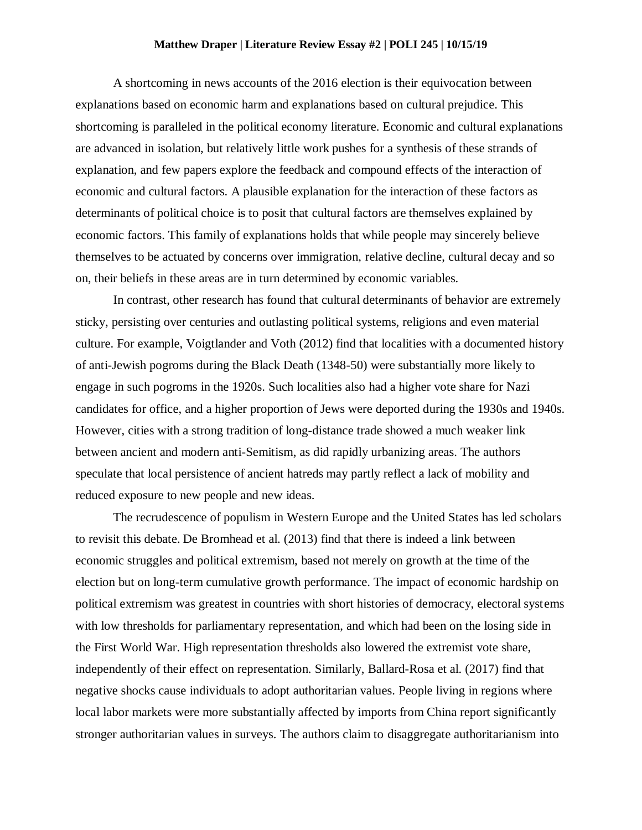## **Matthew Draper | Literature Review Essay #2 | POLI 245 | 10/15/19**

A shortcoming in news accounts of the 2016 election is their equivocation between explanations based on economic harm and explanations based on cultural prejudice. This shortcoming is paralleled in the political economy literature. Economic and cultural explanations are advanced in isolation, but relatively little work pushes for a synthesis of these strands of explanation, and few papers explore the feedback and compound effects of the interaction of economic and cultural factors. A plausible explanation for the interaction of these factors as determinants of political choice is to posit that cultural factors are themselves explained by economic factors. This family of explanations holds that while people may sincerely believe themselves to be actuated by concerns over immigration, relative decline, cultural decay and so on, their beliefs in these areas are in turn determined by economic variables.

In contrast, other research has found that cultural determinants of behavior are extremely sticky, persisting over centuries and outlasting political systems, religions and even material culture. For example, Voigtlander and Voth (2012) find that localities with a documented history of anti-Jewish pogroms during the Black Death (1348-50) were substantially more likely to engage in such pogroms in the 1920s. Such localities also had a higher vote share for Nazi candidates for office, and a higher proportion of Jews were deported during the 1930s and 1940s. However, cities with a strong tradition of long-distance trade showed a much weaker link between ancient and modern anti-Semitism, as did rapidly urbanizing areas. The authors speculate that local persistence of ancient hatreds may partly reflect a lack of mobility and reduced exposure to new people and new ideas.

The recrudescence of populism in Western Europe and the United States has led scholars to revisit this debate. De Bromhead et al. (2013) find that there is indeed a link between economic struggles and political extremism, based not merely on growth at the time of the election but on long-term cumulative growth performance. The impact of economic hardship on political extremism was greatest in countries with short histories of democracy, electoral systems with low thresholds for parliamentary representation, and which had been on the losing side in the First World War. High representation thresholds also lowered the extremist vote share, independently of their effect on representation. Similarly, Ballard-Rosa et al. (2017) find that negative shocks cause individuals to adopt authoritarian values. People living in regions where local labor markets were more substantially affected by imports from China report significantly stronger authoritarian values in surveys. The authors claim to disaggregate authoritarianism into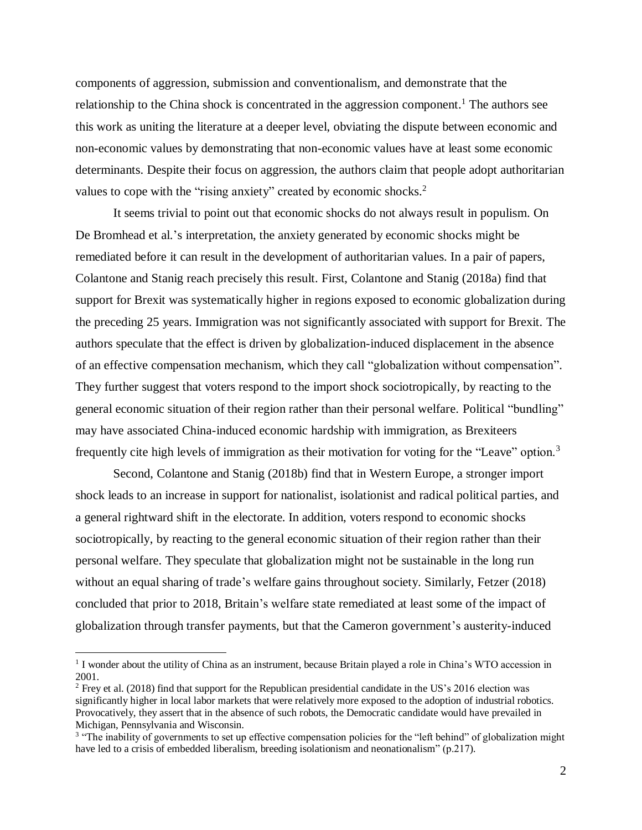components of aggression, submission and conventionalism, and demonstrate that the relationship to the China shock is concentrated in the aggression component.<sup>1</sup> The authors see this work as uniting the literature at a deeper level, obviating the dispute between economic and non-economic values by demonstrating that non-economic values have at least some economic determinants. Despite their focus on aggression, the authors claim that people adopt authoritarian values to cope with the "rising anxiety" created by economic shocks.<sup>2</sup>

It seems trivial to point out that economic shocks do not always result in populism. On De Bromhead et al.'s interpretation, the anxiety generated by economic shocks might be remediated before it can result in the development of authoritarian values. In a pair of papers, Colantone and Stanig reach precisely this result. First, Colantone and Stanig (2018a) find that support for Brexit was systematically higher in regions exposed to economic globalization during the preceding 25 years. Immigration was not significantly associated with support for Brexit. The authors speculate that the effect is driven by globalization-induced displacement in the absence of an effective compensation mechanism, which they call "globalization without compensation". They further suggest that voters respond to the import shock sociotropically, by reacting to the general economic situation of their region rather than their personal welfare. Political "bundling" may have associated China-induced economic hardship with immigration, as Brexiteers frequently cite high levels of immigration as their motivation for voting for the "Leave" option.<sup>3</sup>

Second, Colantone and Stanig (2018b) find that in Western Europe, a stronger import shock leads to an increase in support for nationalist, isolationist and radical political parties, and a general rightward shift in the electorate. In addition, voters respond to economic shocks sociotropically, by reacting to the general economic situation of their region rather than their personal welfare. They speculate that globalization might not be sustainable in the long run without an equal sharing of trade's welfare gains throughout society. Similarly, Fetzer (2018) concluded that prior to 2018, Britain's welfare state remediated at least some of the impact of globalization through transfer payments, but that the Cameron government's austerity-induced

 $\overline{a}$ 

<sup>&</sup>lt;sup>1</sup> I wonder about the utility of China as an instrument, because Britain played a role in China's WTO accession in 2001.

<sup>2</sup> Frey et al. (2018) find that support for the Republican presidential candidate in the US's 2016 election was significantly higher in local labor markets that were relatively more exposed to the adoption of industrial robotics. Provocatively, they assert that in the absence of such robots, the Democratic candidate would have prevailed in Michigan, Pennsylvania and Wisconsin.

<sup>&</sup>lt;sup>3</sup> "The inability of governments to set up effective compensation policies for the "left behind" of globalization might have led to a crisis of embedded liberalism, breeding isolationism and neonationalism" (p.217).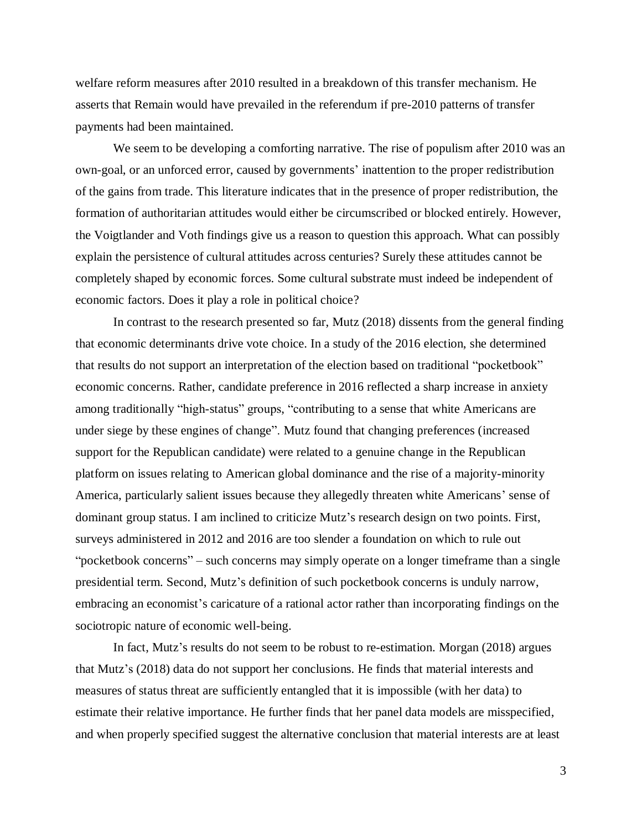welfare reform measures after 2010 resulted in a breakdown of this transfer mechanism. He asserts that Remain would have prevailed in the referendum if pre-2010 patterns of transfer payments had been maintained.

We seem to be developing a comforting narrative. The rise of populism after 2010 was an own-goal, or an unforced error, caused by governments' inattention to the proper redistribution of the gains from trade. This literature indicates that in the presence of proper redistribution, the formation of authoritarian attitudes would either be circumscribed or blocked entirely. However, the Voigtlander and Voth findings give us a reason to question this approach. What can possibly explain the persistence of cultural attitudes across centuries? Surely these attitudes cannot be completely shaped by economic forces. Some cultural substrate must indeed be independent of economic factors. Does it play a role in political choice?

In contrast to the research presented so far, Mutz (2018) dissents from the general finding that economic determinants drive vote choice. In a study of the 2016 election, she determined that results do not support an interpretation of the election based on traditional "pocketbook" economic concerns. Rather, candidate preference in 2016 reflected a sharp increase in anxiety among traditionally "high-status" groups, "contributing to a sense that white Americans are under siege by these engines of change". Mutz found that changing preferences (increased support for the Republican candidate) were related to a genuine change in the Republican platform on issues relating to American global dominance and the rise of a majority-minority America, particularly salient issues because they allegedly threaten white Americans' sense of dominant group status. I am inclined to criticize Mutz's research design on two points. First, surveys administered in 2012 and 2016 are too slender a foundation on which to rule out "pocketbook concerns" – such concerns may simply operate on a longer timeframe than a single presidential term. Second, Mutz's definition of such pocketbook concerns is unduly narrow, embracing an economist's caricature of a rational actor rather than incorporating findings on the sociotropic nature of economic well-being.

In fact, Mutz's results do not seem to be robust to re-estimation. Morgan (2018) argues that Mutz's (2018) data do not support her conclusions. He finds that material interests and measures of status threat are sufficiently entangled that it is impossible (with her data) to estimate their relative importance. He further finds that her panel data models are misspecified, and when properly specified suggest the alternative conclusion that material interests are at least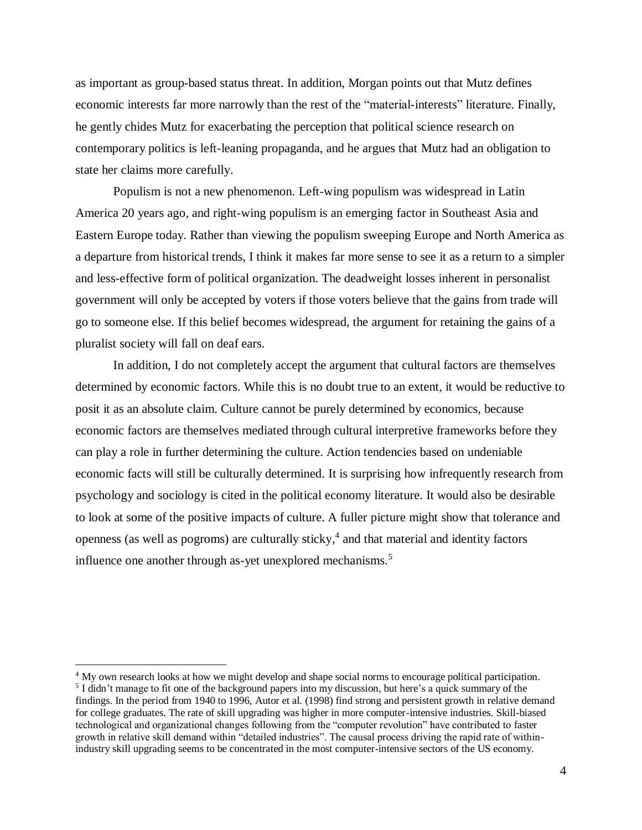as important as group-based status threat. In addition, Morgan points out that Mutz defines economic interests far more narrowly than the rest of the "material-interests" literature. Finally, he gently chides Mutz for exacerbating the perception that political science research on contemporary politics is left-leaning propaganda, and he argues that Mutz had an obligation to state her claims more carefully.

Populism is not a new phenomenon. Left-wing populism was widespread in Latin America 20 years ago, and right-wing populism is an emerging factor in Southeast Asia and Eastern Europe today. Rather than viewing the populism sweeping Europe and North America as a departure from historical trends, I think it makes far more sense to see it as a return to a simpler and less-effective form of political organization. The deadweight losses inherent in personalist government will only be accepted by voters if those voters believe that the gains from trade will go to someone else. If this belief becomes widespread, the argument for retaining the gains of a pluralist society will fall on deaf ears.

In addition, I do not completely accept the argument that cultural factors are themselves determined by economic factors. While this is no doubt true to an extent, it would be reductive to posit it as an absolute claim. Culture cannot be purely determined by economics, because economic factors are themselves mediated through cultural interpretive frameworks before they can play a role in further determining the culture. Action tendencies based on undeniable economic facts will still be culturally determined. It is surprising how infrequently research from psychology and sociology is cited in the political economy literature. It would also be desirable to look at some of the positive impacts of culture. A fuller picture might show that tolerance and openness (as well as pogroms) are culturally sticky, 4 and that material and identity factors influence one another through as-yet unexplored mechanisms.<sup>5</sup>

 $\overline{\phantom{a}}$ 

<sup>&</sup>lt;sup>4</sup> My own research looks at how we might develop and shape social norms to encourage political participation. <sup>5</sup> I didn't manage to fit one of the background papers into my discussion, but here's a quick summary of the findings. In the period from 1940 to 1996, Autor et al. (1998) find strong and persistent growth in relative demand for college graduates. The rate of skill upgrading was higher in more computer-intensive industries. Skill-biased technological and organizational changes following from the "computer revolution" have contributed to faster growth in relative skill demand within "detailed industries". The causal process driving the rapid rate of withinindustry skill upgrading seems to be concentrated in the most computer-intensive sectors of the US economy.